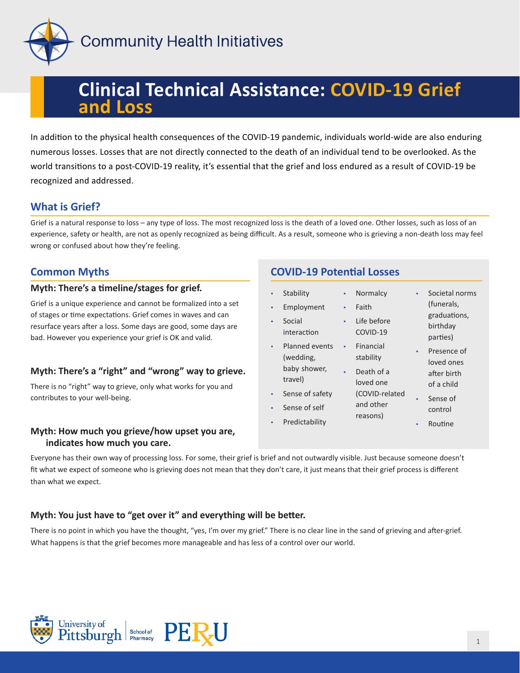

# **Clinical Technical Assistance: COVID-19 Grief and Loss**

In addition to the physical health consequences of the COVID-19 pandemic, individuals world-wide are also enduring numerous losses. Losses that are not directly connected to the death of an individual tend to be overlooked. As the world transitions to a post-COVID-19 reality, it's essential that the grief and loss endured as a result of COVID-19 be recognized and addressed.

## **What is Grief?**

Grief is a natural response to loss – any type of loss. The most recognized loss is the death of a loved one. Other losses, such as loss of an experience, safety or health, are not as openly recognized as being difficult. As a result, someone who is grieving a non-death loss may feel wrong or confused about how they're feeling.

## **Common Myths**

#### **Myth: There's a timeline/stages for grief.**

Grief is a unique experience and cannot be formalized into a set of stages or time expectations. Grief comes in waves and can resurface years after a loss. Some days are good, some days are bad. However you experience your grief is OK and valid.

## **Myth: There's a "right" and "wrong" way to grieve.**

There is no "right" way to grieve, only what works for you and contributes to your well-being.

#### **Myth: How much you grieve/how upset you are, indicates how much you care.**

## **COVID-19 Potential Losses**

| ۰         | Stability                          | ٠         | Normalcy                | $\bullet$ | Societal norms                       |
|-----------|------------------------------------|-----------|-------------------------|-----------|--------------------------------------|
| $\bullet$ | Employment                         | $\bullet$ | Faith                   |           | (funerals,                           |
| $\bullet$ | Social<br>interaction              | $\bullet$ | Life before<br>COVID-19 |           | graduations,<br>birthday<br>parties) |
| $\bullet$ | <b>Planned events</b><br>(wedding, | $\bullet$ | Financial<br>stability  | $\bullet$ | Presence of<br>loved ones            |
|           | baby shower,<br>travel)            |           | Death of a<br>loved one |           | after birth<br>of a child            |
| ۰         | Sense of safety                    |           | (COVID-related          |           | Sense of                             |
| ۰         | Sense of self                      |           | and other               |           | control                              |
| ۰         | Predictability                     |           | reasons)                |           | Routine                              |
|           |                                    |           |                         |           |                                      |

Everyone has their own way of processing loss. For some, their grief is brief and not outwardly visible. Just because someone doesn't fit what we expect of someone who is grieving does not mean that they don't care, it just means that their grief process is different than what we expect.

## **Myth: You just have to "get over it" and everything will be better.**

There is no point in which you have the thought, "yes, I'm over my grief." There is no clear line in the sand of grieving and after-grief. What happens is that the grief becomes more manageable and has less of a control over our world.

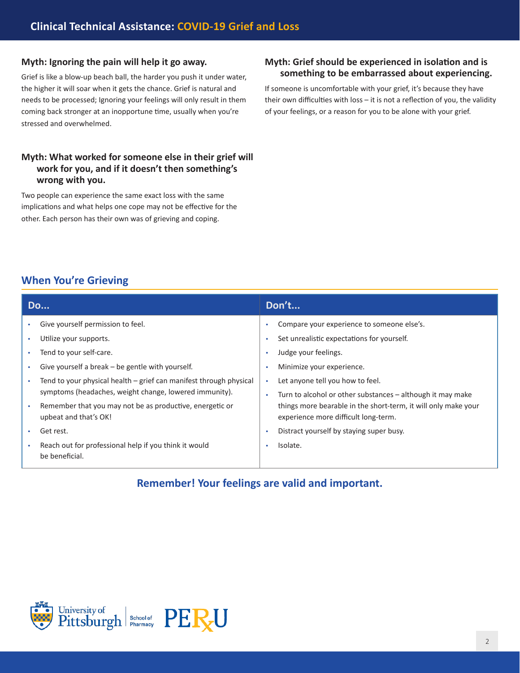#### **Myth: Ignoring the pain will help it go away.**

Grief is like a blow-up beach ball, the harder you push it under water, the higher it will soar when it gets the chance. Grief is natural and needs to be processed; Ignoring your feelings will only result in them coming back stronger at an inopportune time, usually when you're stressed and overwhelmed.

### **Myth: What worked for someone else in their grief will work for you, and if it doesn't then something's wrong with you.**

Two people can experience the same exact loss with the same implications and what helps one cope may not be effective for the other. Each person has their own was of grieving and coping.

#### **Myth: Grief should be experienced in isolation and is something to be embarrassed about experiencing.**

If someone is uncomfortable with your grief, it's because they have their own difficulties with loss – it is not a reflection of you, the validity of your feelings, or a reason for you to be alone with your grief.

## **When You're Grieving**

| <b>Do</b> |                                                                                                                              | Don't                  |                                                                                                        |  |  |  |
|-----------|------------------------------------------------------------------------------------------------------------------------------|------------------------|--------------------------------------------------------------------------------------------------------|--|--|--|
|           | Give yourself permission to feel.<br>Utilize your supports.                                                                  | $\bullet$              | Compare your experience to someone else's.<br>Set unrealistic expectations for yourself.               |  |  |  |
|           | Tend to your self-care.                                                                                                      | $\bullet$              | Judge your feelings.                                                                                   |  |  |  |
|           | Give yourself a break – be gentle with yourself.                                                                             | $\bullet$              | Minimize your experience.                                                                              |  |  |  |
| ٠         | Tend to your physical health - grief can manifest through physical<br>symptoms (headaches, weight change, lowered immunity). | $\bullet$<br>$\bullet$ | Let anyone tell you how to feel.<br>Turn to alcohol or other substances - although it may make         |  |  |  |
|           | Remember that you may not be as productive, energetic or<br>upbeat and that's OK!                                            |                        | things more bearable in the short-term, it will only make your<br>experience more difficult long-term. |  |  |  |
|           | Get rest.                                                                                                                    | $\bullet$              | Distract yourself by staying super busy.                                                               |  |  |  |
|           | Reach out for professional help if you think it would<br>be beneficial.                                                      | $\bullet$              | Isolate.                                                                                               |  |  |  |

## **Remember! Your feelings are valid and important.**